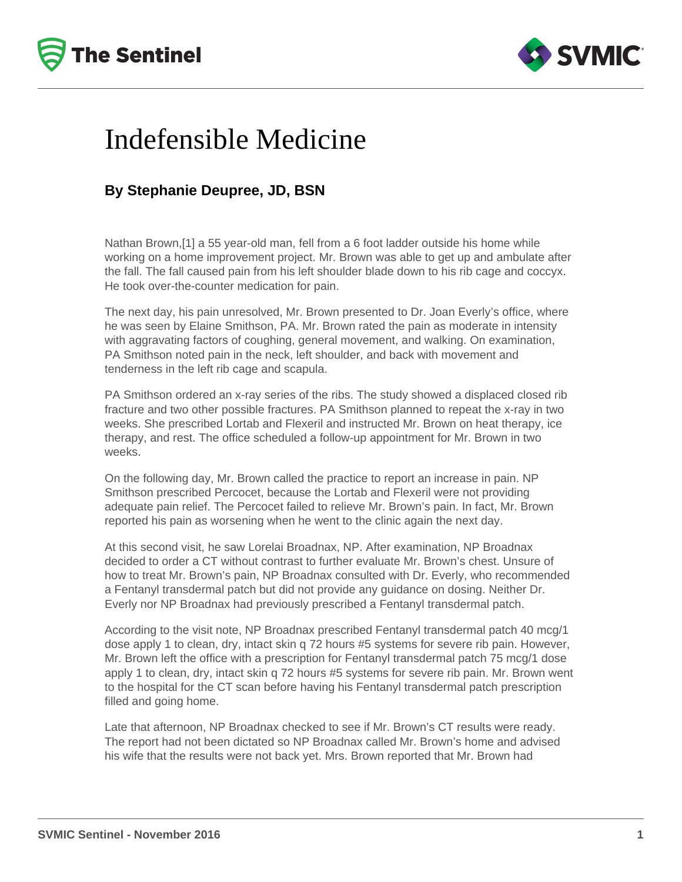



## Indefensible Medicine

## **By Stephanie Deupree, JD, BSN**

Nathan Brown,[1] a 55 year-old man, fell from a 6 foot ladder outside his home while working on a home improvement project. Mr. Brown was able to get up and ambulate after the fall. The fall caused pain from his left shoulder blade down to his rib cage and coccyx. He took over-the-counter medication for pain.

The next day, his pain unresolved, Mr. Brown presented to Dr. Joan Everly's office, where he was seen by Elaine Smithson, PA. Mr. Brown rated the pain as moderate in intensity with aggravating factors of coughing, general movement, and walking. On examination, PA Smithson noted pain in the neck, left shoulder, and back with movement and tenderness in the left rib cage and scapula.

PA Smithson ordered an x-ray series of the ribs. The study showed a displaced closed rib fracture and two other possible fractures. PA Smithson planned to repeat the x-ray in two weeks. She prescribed Lortab and Flexeril and instructed Mr. Brown on heat therapy, ice therapy, and rest. The office scheduled a follow-up appointment for Mr. Brown in two weeks.

On the following day, Mr. Brown called the practice to report an increase in pain. NP Smithson prescribed Percocet, because the Lortab and Flexeril were not providing adequate pain relief. The Percocet failed to relieve Mr. Brown's pain. In fact, Mr. Brown reported his pain as worsening when he went to the clinic again the next day.

At this second visit, he saw Lorelai Broadnax, NP. After examination, NP Broadnax decided to order a CT without contrast to further evaluate Mr. Brown's chest. Unsure of how to treat Mr. Brown's pain, NP Broadnax consulted with Dr. Everly, who recommended a Fentanyl transdermal patch but did not provide any guidance on dosing. Neither Dr. Everly nor NP Broadnax had previously prescribed a Fentanyl transdermal patch.

According to the visit note, NP Broadnax prescribed Fentanyl transdermal patch 40 mcg/1 dose apply 1 to clean, dry, intact skin q 72 hours #5 systems for severe rib pain. However, Mr. Brown left the office with a prescription for Fentanyl transdermal patch 75 mcg/1 dose apply 1 to clean, dry, intact skin q 72 hours #5 systems for severe rib pain. Mr. Brown went to the hospital for the CT scan before having his Fentanyl transdermal patch prescription filled and going home.

Late that afternoon, NP Broadnax checked to see if Mr. Brown's CT results were ready. The report had not been dictated so NP Broadnax called Mr. Brown's home and advised his wife that the results were not back yet. Mrs. Brown reported that Mr. Brown had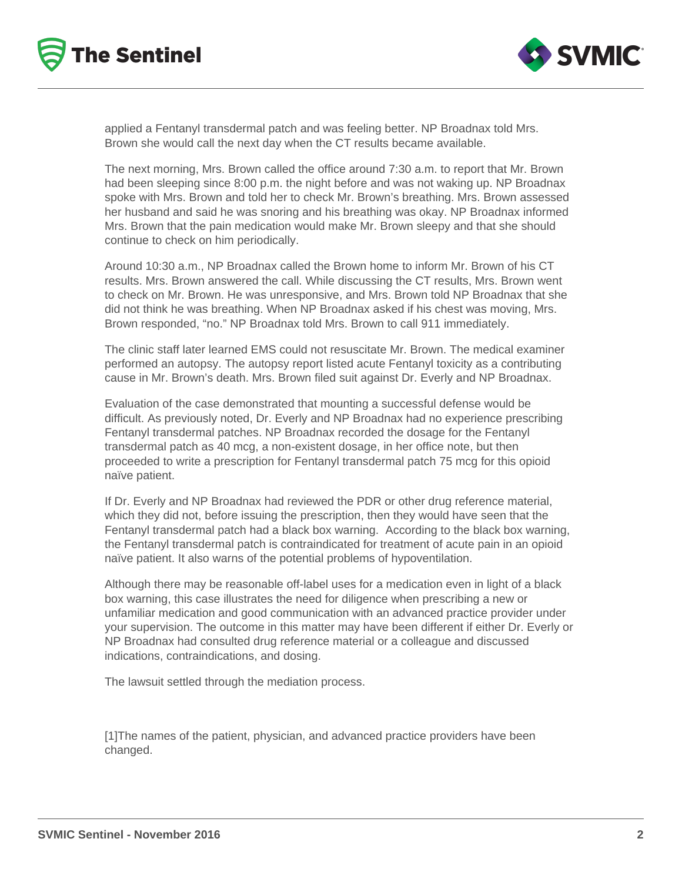



applied a Fentanyl transdermal patch and was feeling better. NP Broadnax told Mrs. Brown she would call the next day when the CT results became available.

The next morning, Mrs. Brown called the office around 7:30 a.m. to report that Mr. Brown had been sleeping since 8:00 p.m. the night before and was not waking up. NP Broadnax spoke with Mrs. Brown and told her to check Mr. Brown's breathing. Mrs. Brown assessed her husband and said he was snoring and his breathing was okay. NP Broadnax informed Mrs. Brown that the pain medication would make Mr. Brown sleepy and that she should continue to check on him periodically.

Around 10:30 a.m., NP Broadnax called the Brown home to inform Mr. Brown of his CT results. Mrs. Brown answered the call. While discussing the CT results, Mrs. Brown went to check on Mr. Brown. He was unresponsive, and Mrs. Brown told NP Broadnax that she did not think he was breathing. When NP Broadnax asked if his chest was moving, Mrs. Brown responded, "no." NP Broadnax told Mrs. Brown to call 911 immediately.

The clinic staff later learned EMS could not resuscitate Mr. Brown. The medical examiner performed an autopsy. The autopsy report listed acute Fentanyl toxicity as a contributing cause in Mr. Brown's death. Mrs. Brown filed suit against Dr. Everly and NP Broadnax.

Evaluation of the case demonstrated that mounting a successful defense would be difficult. As previously noted, Dr. Everly and NP Broadnax had no experience prescribing Fentanyl transdermal patches. NP Broadnax recorded the dosage for the Fentanyl transdermal patch as 40 mcg, a non-existent dosage, in her office note, but then proceeded to write a prescription for Fentanyl transdermal patch 75 mcg for this opioid naïve patient.

If Dr. Everly and NP Broadnax had reviewed the PDR or other drug reference material, which they did not, before issuing the prescription, then they would have seen that the Fentanyl transdermal patch had a black box warning. According to the black box warning, the Fentanyl transdermal patch is contraindicated for treatment of acute pain in an opioid naïve patient. It also warns of the potential problems of hypoventilation.

Although there may be reasonable off-label uses for a medication even in light of a black box warning, this case illustrates the need for diligence when prescribing a new or unfamiliar medication and good communication with an advanced practice provider under your supervision. The outcome in this matter may have been different if either Dr. Everly or NP Broadnax had consulted drug reference material or a colleague and discussed indications, contraindications, and dosing.

The lawsuit settled through the mediation process.

[1]The names of the patient, physician, and advanced practice providers have been changed.